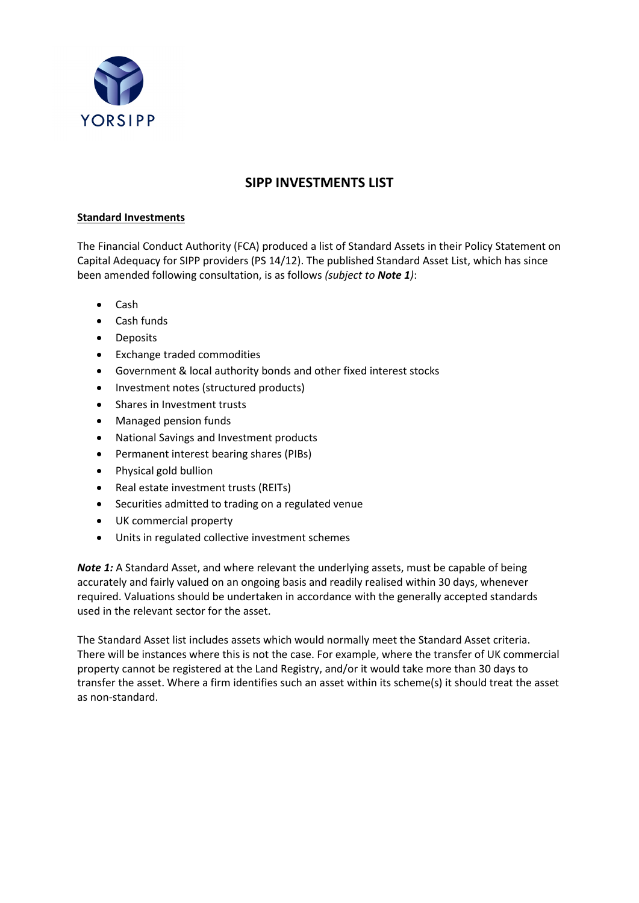

## **SIPP INVESTMENTS LIST**

## **Standard Investments**

The Financial Conduct Authority (FCA) produced a list of Standard Assets in their Policy Statement on Capital Adequacy for SIPP providers (PS 14/12). The published Standard Asset List, which has since been amended following consultation, is as follows *(subject to Note 1)*:

- Cash
- Cash funds
- [Deposits](https://www.handbook.fca.org.uk/handbook/glossary/G275.html)
- Exchange traded commodities
- Government & local authority bonds and other fixed interest stocks
- Investment notes (structured products)
- Shares in [Investment trusts](https://www.handbook.fca.org.uk/handbook/glossary/G606.html)
- Managed pension funds
- National Savings and Investment products
- Permanent interest bearing shares (PIBs)
- Physical gold bullion
- Real estate investment trusts (REITs)
- [Securities](https://www.handbook.fca.org.uk/handbook/glossary/G1061.html) admitted to trading on a regulated venue
- UK commercial property
- Units in [regulated collective investment schemes](https://www.handbook.fca.org.uk/handbook/glossary/G976.html)

*Note 1:* A Standard Asset, and where relevant the underlying assets, must be capable of being accurately and fairly valued on an ongoing basis and readily realised within 30 days, whenever required. Valuations should be undertaken in accordance with the generally accepted standards used in the relevant sector for the asset.

The Standard Asset list includes assets which would normally meet the Standard Asset criteria. There will be instances where this is not the case. For example, where the transfer of UK commercial property cannot be registered at the Land Registry, and/or it would take more than 30 days to transfer the asset. Where a firm identifies such an asset within its scheme(s) it should treat the asset as non-standard.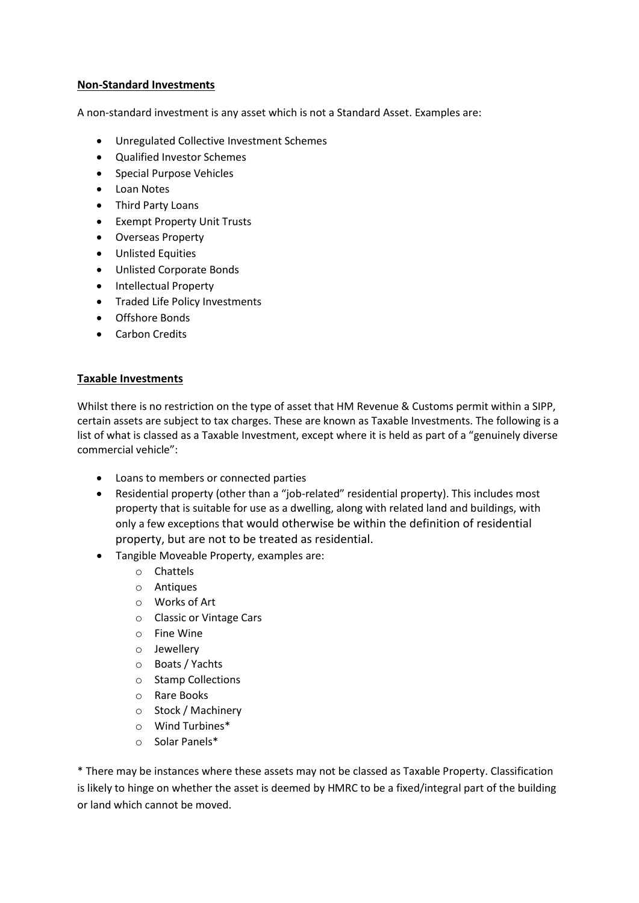## **Non-Standard Investments**

A non-standard investment is any asset which is not a Standard Asset. Examples are:

- Unregulated Collective Investment Schemes
- Qualified Investor Schemes
- Special Purpose Vehicles
- Loan Notes
- Third Party Loans
- Exempt Property Unit Trusts
- Overseas Property
- Unlisted Equities
- Unlisted Corporate Bonds
- Intellectual Property
- Traded Life Policy Investments
- Offshore Bonds
- Carbon Credits

## **Taxable Investments**

Whilst there is no restriction on the type of asset that HM Revenue & Customs permit within a SIPP, certain assets are subject to tax charges. These are known as Taxable Investments. The following is a list of what is classed as a Taxable Investment, except where it is held as part of a "genuinely diverse commercial vehicle":

- Loans to members or connected parties
- Residential property (other than a "job-related" residential property). This includes most property that is suitable for use as a dwelling, along with related land and buildings, with only a few exceptions that would otherwise be within the definition of residential property, but are not to be treated as residential.
- Tangible Moveable Property, examples are:
	- o Chattels
	- o Antiques
	- o Works of Art
	- o Classic or Vintage Cars
	- o Fine Wine
	- o Jewellery
	- o Boats / Yachts
	- o Stamp Collections
	- o Rare Books
	- o Stock / Machinery
	- o Wind Turbines\*
	- o Solar Panels\*

\* There may be instances where these assets may not be classed as Taxable Property. Classification is likely to hinge on whether the asset is deemed by HMRC to be a fixed/integral part of the building or land which cannot be moved.